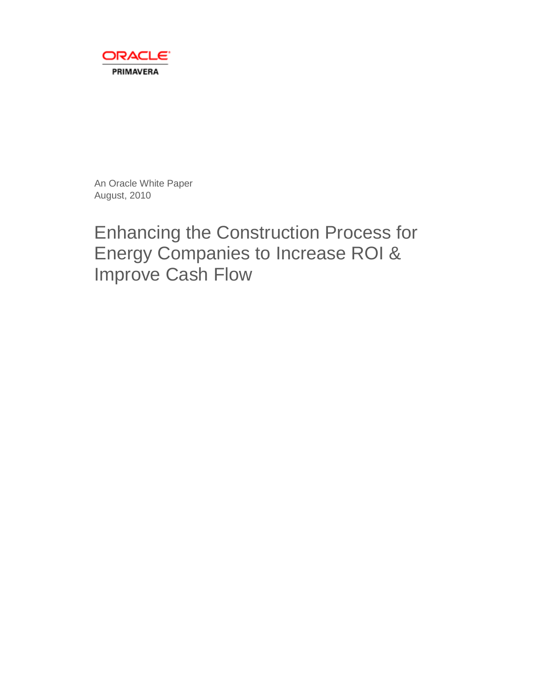

An Oracle White Paper August, 2010

# Enhancing the Construction Process for Energy Companies to Increase ROI & Improve Cash Flow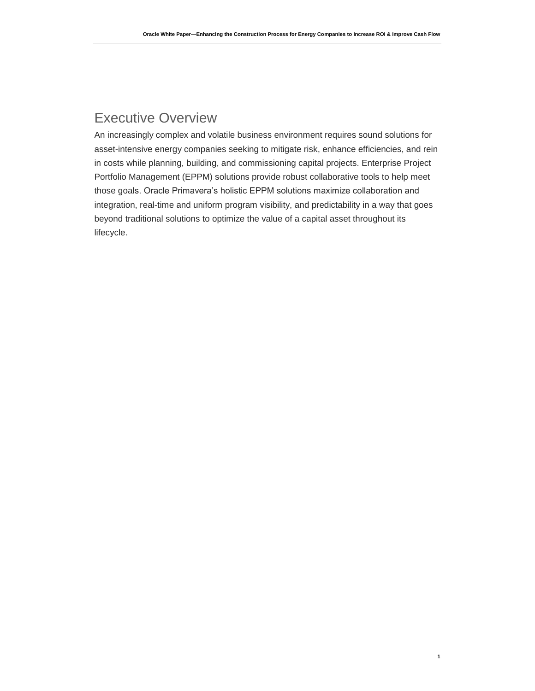## Executive Overview

An increasingly complex and volatile business environment requires sound solutions for asset-intensive energy companies seeking to mitigate risk, enhance efficiencies, and rein in costs while planning, building, and commissioning capital projects. Enterprise Project Portfolio Management (EPPM) solutions provide robust collaborative tools to help meet those goals. Oracle Primavera's holistic EPPM solutions maximize collaboration and integration, real-time and uniform program visibility, and predictability in a way that goes beyond traditional solutions to optimize the value of a capital asset throughout its lifecycle.

**1**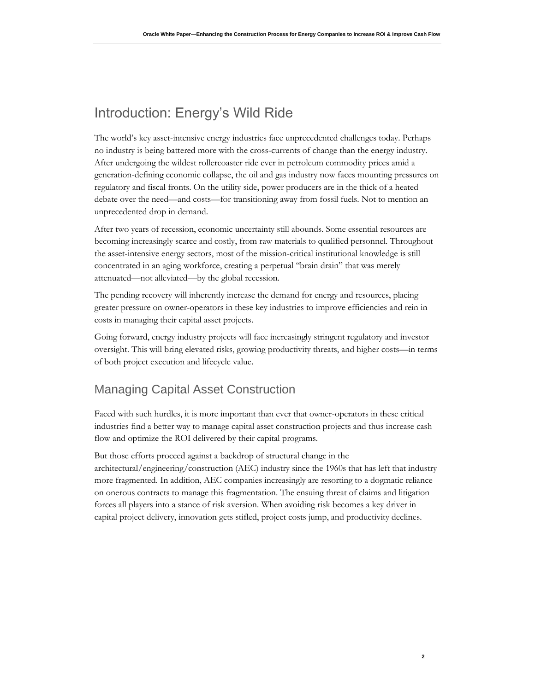## Introduction: Energy's Wild Ride

The world's key asset-intensive energy industries face unprecedented challenges today. Perhaps no industry is being battered more with the cross-currents of change than the energy industry. After undergoing the wildest rollercoaster ride ever in petroleum commodity prices amid a generation-defining economic collapse, the oil and gas industry now faces mounting pressures on regulatory and fiscal fronts. On the utility side, power producers are in the thick of a heated debate over the need—and costs—for transitioning away from fossil fuels. Not to mention an unprecedented drop in demand.

After two years of recession, economic uncertainty still abounds. Some essential resources are becoming increasingly scarce and costly, from raw materials to qualified personnel. Throughout the asset-intensive energy sectors, most of the mission-critical institutional knowledge is still concentrated in an aging workforce, creating a perpetual "brain drain" that was merely attenuated—not alleviated—by the global recession.

The pending recovery will inherently increase the demand for energy and resources, placing greater pressure on owner-operators in these key industries to improve efficiencies and rein in costs in managing their capital asset projects.

Going forward, energy industry projects will face increasingly stringent regulatory and investor oversight. This will bring elevated risks, growing productivity threats, and higher costs—in terms of both project execution and lifecycle value.

#### Managing Capital Asset Construction

Faced with such hurdles, it is more important than ever that owner-operators in these critical industries find a better way to manage capital asset construction projects and thus increase cash flow and optimize the ROI delivered by their capital programs.

But those efforts proceed against a backdrop of structural change in the architectural/engineering/construction (AEC) industry since the 1960s that has left that industry more fragmented. In addition, AEC companies increasingly are resorting to a dogmatic reliance on onerous contracts to manage this fragmentation. The ensuing threat of claims and litigation forces all players into a stance of risk aversion. When avoiding risk becomes a key driver in capital project delivery, innovation gets stifled, project costs jump, and productivity declines.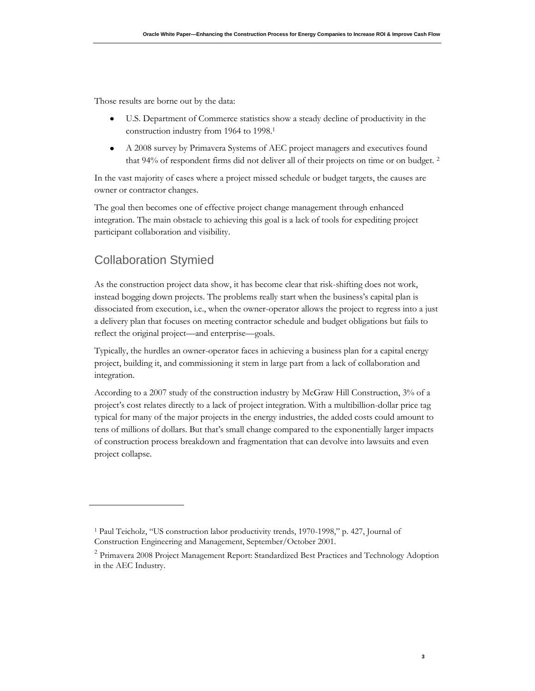Those results are borne out by the data:

- $\bullet$ U.S. Department of Commerce statistics show a steady decline of productivity in the construction industry from 1964 to 1998.<sup>1</sup>
- $\bullet$ A 2008 survey by Primavera Systems of AEC project managers and executives found that 94% of respondent firms did not deliver all of their projects on time or on budget. <sup>2</sup>

In the vast majority of cases where a project missed schedule or budget targets, the causes are owner or contractor changes.

The goal then becomes one of effective project change management through enhanced integration. The main obstacle to achieving this goal is a lack of tools for expediting project participant collaboration and visibility.

#### Collaboration Stymied

As the construction project data show, it has become clear that risk-shifting does not work, instead bogging down projects. The problems really start when the business's capital plan is dissociated from execution, i.e., when the owner-operator allows the project to regress into a just a delivery plan that focuses on meeting contractor schedule and budget obligations but fails to reflect the original project—and enterprise—goals.

Typically, the hurdles an owner-operator faces in achieving a business plan for a capital energy project, building it, and commissioning it stem in large part from a lack of collaboration and integration.

According to a 2007 study of the construction industry by McGraw Hill Construction, 3% of a project's cost relates directly to a lack of project integration. With a multibillion-dollar price tag typical for many of the major projects in the energy industries, the added costs could amount to tens of millions of dollars. But that's small change compared to the exponentially larger impacts of construction process breakdown and fragmentation that can devolve into lawsuits and even project collapse.

<sup>1</sup> Paul Teicholz, "US construction labor productivity trends, 1970-1998," p. 427, Journal of Construction Engineering and Management, September/October 2001.

<sup>&</sup>lt;sup>2</sup> Primavera 2008 Project Management Report: Standardized Best Practices and Technology Adoption in the AEC Industry.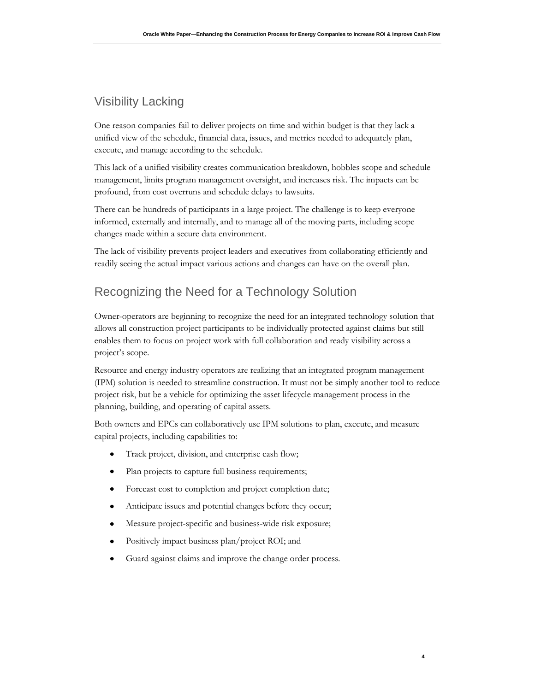#### Visibility Lacking

One reason companies fail to deliver projects on time and within budget is that they lack a unified view of the schedule, financial data, issues, and metrics needed to adequately plan, execute, and manage according to the schedule.

This lack of a unified visibility creates communication breakdown, hobbles scope and schedule management, limits program management oversight, and increases risk. The impacts can be profound, from cost overruns and schedule delays to lawsuits.

There can be hundreds of participants in a large project. The challenge is to keep everyone informed, externally and internally, and to manage all of the moving parts, including scope changes made within a secure data environment.

The lack of visibility prevents project leaders and executives from collaborating efficiently and readily seeing the actual impact various actions and changes can have on the overall plan.

### Recognizing the Need for a Technology Solution

Owner-operators are beginning to recognize the need for an integrated technology solution that allows all construction project participants to be individually protected against claims but still enables them to focus on project work with full collaboration and ready visibility across a project's scope.

Resource and energy industry operators are realizing that an integrated program management (IPM) solution is needed to streamline construction. It must not be simply another tool to reduce project risk, but be a vehicle for optimizing the asset lifecycle management process in the planning, building, and operating of capital assets.

Both owners and EPCs can collaboratively use IPM solutions to plan, execute, and measure capital projects, including capabilities to:

- $\bullet$ Track project, division, and enterprise cash flow;
- $\bullet$ Plan projects to capture full business requirements;
- Forecast cost to completion and project completion date;  $\bullet$
- $\bullet$ Anticipate issues and potential changes before they occur;
- Measure project-specific and business-wide risk exposure;  $\bullet$
- Positively impact business plan/project ROI; and
- $\bullet$ Guard against claims and improve the change order process.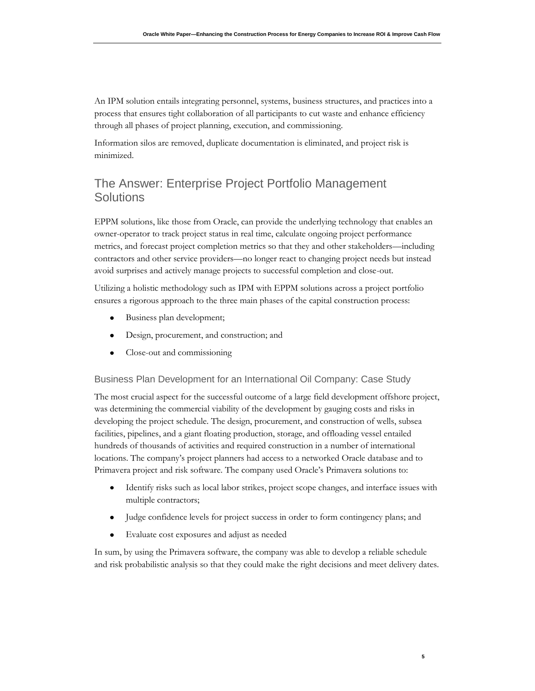An IPM solution entails integrating personnel, systems, business structures, and practices into a process that ensures tight collaboration of all participants to cut waste and enhance efficiency through all phases of project planning, execution, and commissioning.

Information silos are removed, duplicate documentation is eliminated, and project risk is minimized.

#### The Answer: Enterprise Project Portfolio Management **Solutions**

EPPM solutions, like those from Oracle, can provide the underlying technology that enables an owner-operator to track project status in real time, calculate ongoing project performance metrics, and forecast project completion metrics so that they and other stakeholders—including contractors and other service providers—no longer react to changing project needs but instead avoid surprises and actively manage projects to successful completion and close-out.

Utilizing a holistic methodology such as IPM with EPPM solutions across a project portfolio ensures a rigorous approach to the three main phases of the capital construction process:

- Business plan development;  $\bullet$
- $\bullet$ Design, procurement, and construction; and
- $\bullet$ Close-out and commissioning

#### Business Plan Development for an International Oil Company: Case Study

The most crucial aspect for the successful outcome of a large field development offshore project, was determining the commercial viability of the development by gauging costs and risks in developing the project schedule. The design, procurement, and construction of wells, subsea facilities, pipelines, and a giant floating production, storage, and offloading vessel entailed hundreds of thousands of activities and required construction in a number of international locations. The company's project planners had access to a networked Oracle database and to Primavera project and risk software. The company used Oracle's Primavera solutions to:

- $\bullet$ Identify risks such as local labor strikes, project scope changes, and interface issues with multiple contractors;
- $\bullet$ Judge confidence levels for project success in order to form contingency plans; and
- Evaluate cost exposures and adjust as needed  $\bullet$

In sum, by using the Primavera software, the company was able to develop a reliable schedule and risk probabilistic analysis so that they could make the right decisions and meet delivery dates.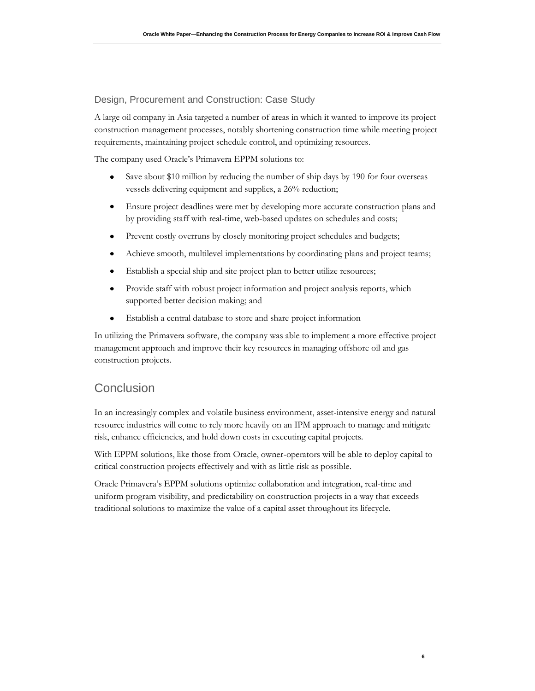#### Design, Procurement and Construction: Case Study

A large oil company in Asia targeted a number of areas in which it wanted to improve its project construction management processes, notably shortening construction time while meeting project requirements, maintaining project schedule control, and optimizing resources.

The company used Oracle's Primavera EPPM solutions to:

- $\bullet$ Save about \$10 million by reducing the number of ship days by 190 for four overseas vessels delivering equipment and supplies, a 26% reduction;
- Ensure project deadlines were met by developing more accurate construction plans and  $\bullet$ by providing staff with real-time, web-based updates on schedules and costs;
- $\bullet$ Prevent costly overruns by closely monitoring project schedules and budgets;
- $\bullet$ Achieve smooth, multilevel implementations by coordinating plans and project teams;
- $\bullet$ Establish a special ship and site project plan to better utilize resources;
- Provide staff with robust project information and project analysis reports, which  $\bullet$ supported better decision making; and
- Establish a central database to store and share project information  $\bullet$

In utilizing the Primavera software, the company was able to implement a more effective project management approach and improve their key resources in managing offshore oil and gas construction projects.

#### **Conclusion**

In an increasingly complex and volatile business environment, asset-intensive energy and natural resource industries will come to rely more heavily on an IPM approach to manage and mitigate risk, enhance efficiencies, and hold down costs in executing capital projects.

With EPPM solutions, like those from Oracle, owner-operators will be able to deploy capital to critical construction projects effectively and with as little risk as possible.

Oracle Primavera's EPPM solutions optimize collaboration and integration, real-time and uniform program visibility, and predictability on construction projects in a way that exceeds traditional solutions to maximize the value of a capital asset throughout its lifecycle.